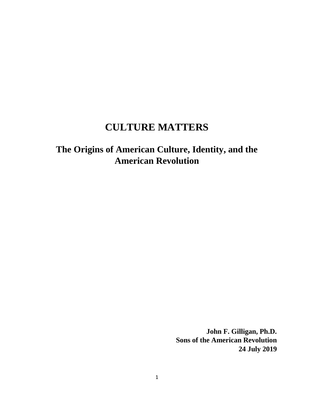# **CULTURE MATTERS**

# **The Origins of American Culture, Identity, and the American Revolution**

**John F. Gilligan, Ph.D. Sons of the American Revolution 24 July 2019**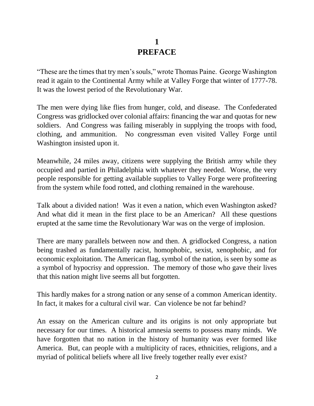## **1 PREFACE**

"These are the times that try men's souls," wrote Thomas Paine. George Washington read it again to the Continental Army while at Valley Forge that winter of 1777-78. It was the lowest period of the Revolutionary War.

The men were dying like flies from hunger, cold, and disease. The Confederated Congress was gridlocked over colonial affairs: financing the war and quotas for new soldiers. And Congress was failing miserably in supplying the troops with food, clothing, and ammunition. No congressman even visited Valley Forge until Washington insisted upon it.

Meanwhile, 24 miles away, citizens were supplying the British army while they occupied and partied in Philadelphia with whatever they needed. Worse, the very people responsible for getting available supplies to Valley Forge were profiteering from the system while food rotted, and clothing remained in the warehouse.

Talk about a divided nation! Was it even a nation, which even Washington asked? And what did it mean in the first place to be an American? All these questions erupted at the same time the Revolutionary War was on the verge of implosion.

There are many parallels between now and then. A gridlocked Congress, a nation being trashed as fundamentally racist, homophobic, sexist, xenophobic, and for economic exploitation. The American flag, symbol of the nation, is seen by some as a symbol of hypocrisy and oppression. The memory of those who gave their lives that this nation might live seems all but forgotten.

This hardly makes for a strong nation or any sense of a common American identity. In fact, it makes for a cultural civil war. Can violence be not far behind?

An essay on the American culture and its origins is not only appropriate but necessary for our times. A historical amnesia seems to possess many minds. We have forgotten that no nation in the history of humanity was ever formed like America. But, can people with a multiplicity of races, ethnicities, religions, and a myriad of political beliefs where all live freely together really ever exist?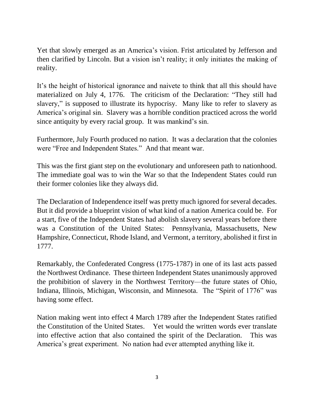Yet that slowly emerged as an America's vision. Frist articulated by Jefferson and then clarified by Lincoln. But a vision isn't reality; it only initiates the making of reality.

It's the height of historical ignorance and naivete to think that all this should have materialized on July 4, 1776. The criticism of the Declaration: "They still had slavery," is supposed to illustrate its hypocrisy. Many like to refer to slavery as America's original sin. Slavery was a horrible condition practiced across the world since antiquity by every racial group. It was mankind's sin.

Furthermore, July Fourth produced no nation. It was a declaration that the colonies were "Free and Independent States." And that meant war.

This was the first giant step on the evolutionary and unforeseen path to nationhood. The immediate goal was to win the War so that the Independent States could run their former colonies like they always did.

The Declaration of Independence itself was pretty much ignored for several decades. But it did provide a blueprint vision of what kind of a nation America could be. For a start, five of the Independent States had abolish slavery several years before there was a Constitution of the United States: Pennsylvania, Massachusetts, New Hampshire, Connecticut, Rhode Island, and Vermont, a territory, abolished it first in 1777.

Remarkably, the Confederated Congress (1775-1787) in one of its last acts passed the Northwest Ordinance. These thirteen Independent States unanimously approved the prohibition of slavery in the Northwest Territory—the future states of Ohio, Indiana, Illinois, Michigan, Wisconsin, and Minnesota. The "Spirit of 1776" was having some effect.

Nation making went into effect 4 March 1789 after the Independent States ratified the Constitution of the United States. Yet would the written words ever translate into effective action that also contained the spirit of the Declaration. This was America's great experiment. No nation had ever attempted anything like it.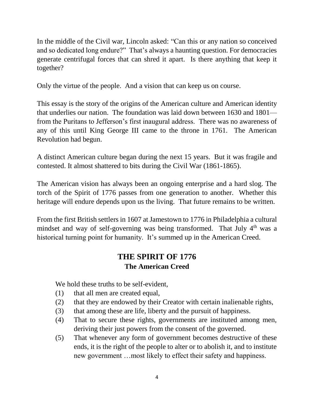In the middle of the Civil war, Lincoln asked: "Can this or any nation so conceived and so dedicated long endure?" That's always a haunting question. For democracies generate centrifugal forces that can shred it apart. Is there anything that keep it together?

Only the virtue of the people. And a vision that can keep us on course.

This essay is the story of the origins of the American culture and American identity that underlies our nation. The foundation was laid down between 1630 and 1801 from the Puritans to Jefferson's first inaugural address. There was no awareness of any of this until King George III came to the throne in 1761. The American Revolution had begun.

A distinct American culture began during the next 15 years. But it was fragile and contested. It almost shattered to bits during the Civil War (1861-1865).

The American vision has always been an ongoing enterprise and a hard slog. The torch of the Spirit of 1776 passes from one generation to another. Whether this heritage will endure depends upon us the living. That future remains to be written.

From the first British settlers in 1607 at Jamestown to 1776 in Philadelphia a cultural mindset and way of self-governing was being transformed. That July  $4<sup>th</sup>$  was a historical turning point for humanity. It's summed up in the American Creed.

# **THE SPIRIT OF 1776 The American Creed**

We hold these truths to be self-evident,

- (1) that all men are created equal,
- (2) that they are endowed by their Creator with certain inalienable rights,
- (3) that among these are life, liberty and the pursuit of happiness.
- (4) That to secure these rights, governments are instituted among men, deriving their just powers from the consent of the governed.
- (5) That whenever any form of government becomes destructive of these ends, it is the right of the people to alter or to abolish it, and to institute new government …most likely to effect their safety and happiness.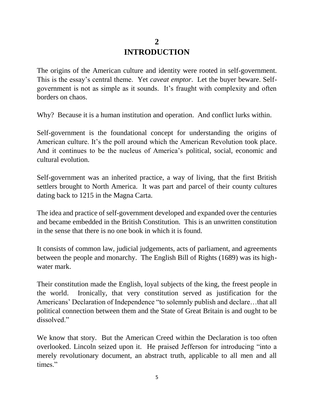## **2 INTRODUCTION**

The origins of the American culture and identity were rooted in self-government. This is the essay's central theme. Yet *caveat emptor*. Let the buyer beware. Selfgovernment is not as simple as it sounds. It's fraught with complexity and often borders on chaos.

Why? Because it is a human institution and operation. And conflict lurks within.

Self-government is the foundational concept for understanding the origins of American culture. It's the poll around which the American Revolution took place. And it continues to be the nucleus of America's political, social, economic and cultural evolution.

Self-government was an inherited practice, a way of living, that the first British settlers brought to North America. It was part and parcel of their county cultures dating back to 1215 in the Magna Carta.

The idea and practice of self-government developed and expanded over the centuries and became embedded in the British Constitution. This is an unwritten constitution in the sense that there is no one book in which it is found.

It consists of common law, judicial judgements, acts of parliament, and agreements between the people and monarchy. The English Bill of Rights (1689) was its highwater mark.

Their constitution made the English, loyal subjects of the king, the freest people in the world. Ironically, that very constitution served as justification for the Americans' Declaration of Independence "to solemnly publish and declare…that all political connection between them and the State of Great Britain is and ought to be dissolved."

We know that story. But the American Creed within the Declaration is too often overlooked. Lincoln seized upon it. He praised Jefferson for introducing "into a merely revolutionary document, an abstract truth, applicable to all men and all times."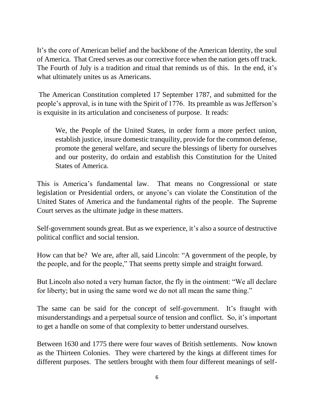It's the core of American belief and the backbone of the American Identity, the soul of America. That Creed serves as our corrective force when the nation gets off track. The Fourth of July is a tradition and ritual that reminds us of this. In the end, it's what ultimately unites us as Americans.

The American Constitution completed 17 September 1787, and submitted for the people's approval, is in tune with the Spirit of 1776. Its preamble as was Jefferson's is exquisite in its articulation and conciseness of purpose. It reads:

We, the People of the United States, in order form a more perfect union, establish justice, insure domestic tranquility, provide for the common defense, promote the general welfare, and secure the blessings of liberty for ourselves and our posterity, do ordain and establish this Constitution for the United States of America.

This is America's fundamental law. That means no Congressional or state legislation or Presidential orders, or anyone's can violate the Constitution of the United States of America and the fundamental rights of the people. The Supreme Court serves as the ultimate judge in these matters.

Self-government sounds great. But as we experience, it's also a source of destructive political conflict and social tension.

How can that be? We are, after all, said Lincoln: "A government of the people, by the people, and for the people," That seems pretty simple and straight forward.

But Lincoln also noted a very human factor, the fly in the ointment: "We all declare for liberty; but in using the same word we do not all mean the same thing."

The same can be said for the concept of self-government. It's fraught with misunderstandings and a perpetual source of tension and conflict. So, it's important to get a handle on some of that complexity to better understand ourselves.

Between 1630 and 1775 there were four waves of British settlements. Now known as the Thirteen Colonies. They were chartered by the kings at different times for different purposes. The settlers brought with them four different meanings of self-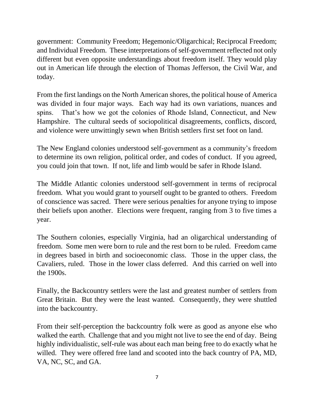government: Community Freedom; Hegemonic/Oligarchical; Reciprocal Freedom; and Individual Freedom. These interpretations of self-government reflected not only different but even opposite understandings about freedom itself. They would play out in American life through the election of Thomas Jefferson, the Civil War, and today.

From the first landings on the North American shores, the political house of America was divided in four major ways. Each way had its own variations, nuances and spins. That's how we got the colonies of Rhode Island, Connecticut, and New Hampshire. The cultural seeds of sociopolitical disagreements, conflicts, discord, and violence were unwittingly sewn when British settlers first set foot on land.

The New England colonies understood self-government as a community's freedom to determine its own religion, political order, and codes of conduct. If you agreed, you could join that town. If not, life and limb would be safer in Rhode Island.

The Middle Atlantic colonies understood self-government in terms of reciprocal freedom. What you would grant to yourself ought to be granted to others. Freedom of conscience was sacred. There were serious penalties for anyone trying to impose their beliefs upon another. Elections were frequent, ranging from 3 to five times a year.

The Southern colonies, especially Virginia, had an oligarchical understanding of freedom. Some men were born to rule and the rest born to be ruled. Freedom came in degrees based in birth and socioeconomic class. Those in the upper class, the Cavaliers, ruled. Those in the lower class deferred. And this carried on well into the 1900s.

Finally, the Backcountry settlers were the last and greatest number of settlers from Great Britain. But they were the least wanted. Consequently, they were shuttled into the backcountry.

From their self-perception the backcountry folk were as good as anyone else who walked the earth. Challenge that and you might not live to see the end of day. Being highly individualistic, self-rule was about each man being free to do exactly what he willed. They were offered free land and scooted into the back country of PA, MD, VA, NC, SC, and GA.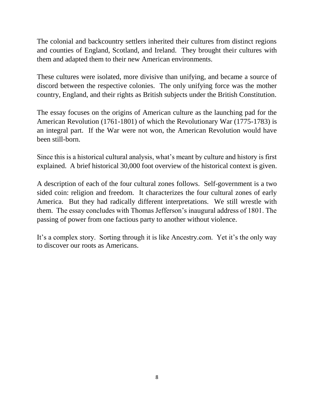The colonial and backcountry settlers inherited their cultures from distinct regions and counties of England, Scotland, and Ireland. They brought their cultures with them and adapted them to their new American environments.

These cultures were isolated, more divisive than unifying, and became a source of discord between the respective colonies. The only unifying force was the mother country, England, and their rights as British subjects under the British Constitution.

The essay focuses on the origins of American culture as the launching pad for the American Revolution (1761-1801) of which the Revolutionary War (1775-1783) is an integral part. If the War were not won, the American Revolution would have been still-born.

Since this is a historical cultural analysis, what's meant by culture and history is first explained. A brief historical 30,000 foot overview of the historical context is given.

A description of each of the four cultural zones follows. Self-government is a two sided coin: religion and freedom. It characterizes the four cultural zones of early America. But they had radically different interpretations. We still wrestle with them. The essay concludes with Thomas Jefferson's inaugural address of 1801. The passing of power from one factious party to another without violence.

It's a complex story. Sorting through it is like Ancestry.com. Yet it's the only way to discover our roots as Americans.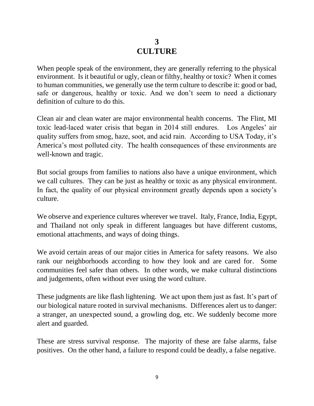# **3 CULTURE**

When people speak of the environment, they are generally referring to the physical environment. Is it beautiful or ugly, clean or filthy, healthy or toxic? When it comes to human communities, we generally use the term culture to describe it: good or bad, safe or dangerous, healthy or toxic. And we don't seem to need a dictionary definition of culture to do this.

Clean air and clean water are major environmental health concerns. The Flint, MI toxic lead-laced water crisis that began in 2014 still endures. Los Angeles' air quality suffers from smog, haze, soot, and acid rain. According to USA Today, it's America's most polluted city. The health consequences of these environments are well-known and tragic.

But social groups from families to nations also have a unique environment, which we call cultures. They can be just as healthy or toxic as any physical environment. In fact, the quality of our physical environment greatly depends upon a society's culture.

We observe and experience cultures wherever we travel. Italy, France, India, Egypt, and Thailand not only speak in different languages but have different customs, emotional attachments, and ways of doing things.

We avoid certain areas of our major cities in America for safety reasons. We also rank our neighborhoods according to how they look and are cared for. Some communities feel safer than others. In other words, we make cultural distinctions and judgements, often without ever using the word culture.

These judgments are like flash lightening. We act upon them just as fast. It's part of our biological nature rooted in survival mechanisms. Differences alert us to danger: a stranger, an unexpected sound, a growling dog, etc. We suddenly become more alert and guarded.

These are stress survival response. The majority of these are false alarms, false positives. On the other hand, a failure to respond could be deadly, a false negative.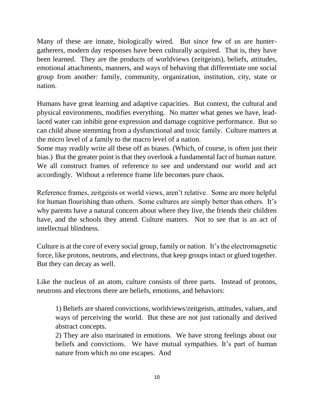Many of these are innate, biologically wired. But since few of us are huntergatherers, modern day responses have been culturally acquired. That is, they have been learned. They are the products of worldviews (zeitgeists), beliefs, attitudes, emotional attachments, manners, and ways of behaving that differentiate one social group from another: family, community, organization, institution, city, state or nation.

Humans have great learning and adaptive capacities. But context, the cultural and physical environments, modifies everything. No matter what genes we have, leadlaced water can inhibit gene expression and damage cognitive performance. But so can child abuse stemming from a dysfunctional and toxic family. Culture matters at the micro level of a family to the macro level of a nation.

Some may readily write all these off as biases. (Which, of course, is often just their bias.) But the greater point is that they overlook a fundamental fact of human nature. We all construct frames of reference to see and understand our world and act accordingly. Without a reference frame life becomes pure chaos.

Reference frames, zeitgeists or world views, aren't relative. Some are more helpful for human flourishing than others. Some cultures are simply better than others. It's why parents have a natural concern about where they live, the friends their children have, and the schools they attend. Culture matters. Not to see that is an act of intellectual blindness.

Culture is at the core of every social group, family or nation. It's the electromagnetic force, like protons, neutrons, and electrons, that keep groups intact or glued together. But they can decay as well.

Like the nucleus of an atom, culture consists of three parts. Instead of protons, neutrons and electrons there are beliefs, emotions, and behaviors:

1) Beliefs are shared convictions, worldviews/zeitgeists, attitudes, values, and ways of perceiving the world. But these are not just rationally and derived abstract concepts.

2) They are also marinated in emotions. We have strong feelings about our beliefs and convictions. We have mutual sympathies. It's part of human nature from which no one escapes. And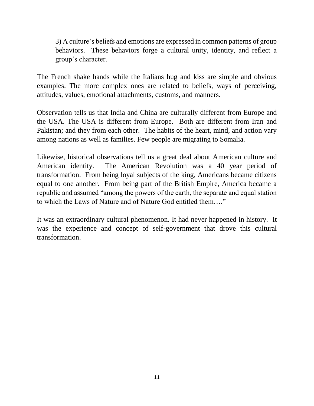3) A culture's beliefs and emotions are expressed in common patterns of group behaviors. These behaviors forge a cultural unity, identity, and reflect a group's character.

The French shake hands while the Italians hug and kiss are simple and obvious examples. The more complex ones are related to beliefs, ways of perceiving, attitudes, values, emotional attachments, customs, and manners.

Observation tells us that India and China are culturally different from Europe and the USA. The USA is different from Europe. Both are different from Iran and Pakistan; and they from each other. The habits of the heart, mind, and action vary among nations as well as families. Few people are migrating to Somalia.

Likewise, historical observations tell us a great deal about American culture and American identity. The American Revolution was a 40 year period of transformation. From being loyal subjects of the king, Americans became citizens equal to one another. From being part of the British Empire, America became a republic and assumed "among the powers of the earth, the separate and equal station to which the Laws of Nature and of Nature God entitled them…."

It was an extraordinary cultural phenomenon. It had never happened in history. It was the experience and concept of self-government that drove this cultural transformation.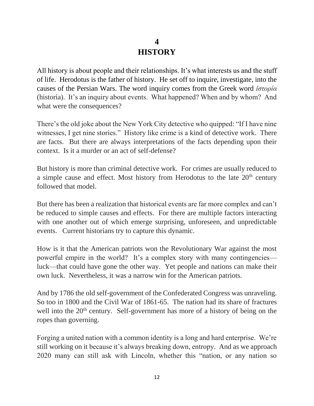## **4 HISTORY**

All history is about people and their relationships. It's what interests us and the stuff of life. Herodotus is the father of history. He set off to inquire, investigate, into the causes of the Persian Wars. The word inquiry comes from the Greek word *ἱστορία*  (historía). It's an inquiry about events. What happened? When and by whom? And what were the consequences?

There's the old joke about the New York City detective who quipped: "If I have nine witnesses, I get nine stories." History like crime is a kind of detective work. There are facts. But there are always interpretations of the facts depending upon their context. Is it a murder or an act of self-defense?

But history is more than criminal detective work. For crimes are usually reduced to a simple cause and effect. Most history from Herodotus to the late 20<sup>th</sup> century followed that model.

But there has been a realization that historical events are far more complex and can't be reduced to simple causes and effects. For there are multiple factors interacting with one another out of which emerge surprising, unforeseen, and unpredictable events. Current historians try to capture this dynamic.

How is it that the American patriots won the Revolutionary War against the most powerful empire in the world? It's a complex story with many contingencies luck—that could have gone the other way. Yet people and nations can make their own luck. Nevertheless, it was a narrow win for the American patriots.

And by 1786 the old self-government of the Confederated Congress was unraveling. So too in 1800 and the Civil War of 1861-65. The nation had its share of fractures well into the 20<sup>th</sup> century. Self-government has more of a history of being on the ropes than governing.

Forging a united nation with a common identity is a long and hard enterprise. We're still working on it because it's always breaking down, entropy. And as we approach 2020 many can still ask with Lincoln, whether this "nation, or any nation so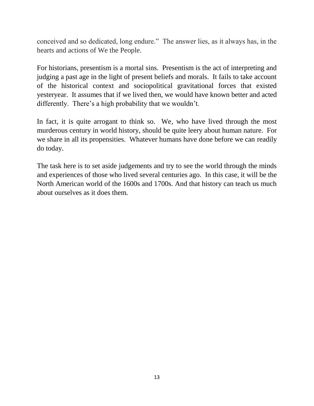conceived and so dedicated, long endure." The answer lies, as it always has, in the hearts and actions of We the People.

For historians, presentism is a mortal sins. Presentism is the act of interpreting and judging a past age in the light of present beliefs and morals. It fails to take account of the historical context and sociopolitical gravitational forces that existed yesteryear. It assumes that if we lived then, we would have known better and acted differently. There's a high probability that we wouldn't.

In fact, it is quite arrogant to think so. We, who have lived through the most murderous century in world history, should be quite leery about human nature. For we share in all its propensities. Whatever humans have done before we can readily do today.

The task here is to set aside judgements and try to see the world through the minds and experiences of those who lived several centuries ago. In this case, it will be the North American world of the 1600s and 1700s. And that history can teach us much about ourselves as it does them.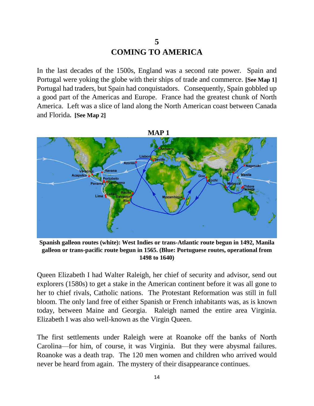## **5 COMING TO AMERICA**

In the last decades of the 1500s, England was a second rate power. Spain and Portugal were yoking the globe with their ships of trade and commerce. **[See Map 1]** Portugal had traders, but Spain had conquistadors. Consequently, Spain gobbled up a good part of the Americas and Europe. France had the greatest chunk of North America. Left was a slice of land along the North American coast between Canada and Florida**. [See Map 2]**



**Spanish galleon routes (white): West Indies or trans-Atlantic route begun in 1492, [Manila](https://en.wikipedia.org/wiki/Manila_galleon)  [galleon](https://en.wikipedia.org/wiki/Manila_galleon) or trans-pacific route begun in 1565. (Blue: Portuguese routes, operational from 1498 to 1640)**

Queen Elizabeth I had Walter Raleigh, her chief of security and advisor, send out explorers (1580s) to get a stake in the American continent before it was all gone to her to chief rivals, Catholic nations. The Protestant Reformation was still in full bloom. The only land free of either Spanish or French inhabitants was, as is known today, between Maine and Georgia. Raleigh named the entire area Virginia. Elizabeth I was also well-known as the Virgin Queen.

The first settlements under Raleigh were at Roanoke off the banks of North Carolina—for him, of course, it was Virginia. But they were abysmal failures. Roanoke was a death trap. The 120 men women and children who arrived would never be heard from again. The mystery of their disappearance continues.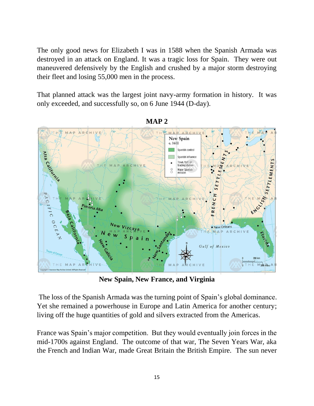The only good news for Elizabeth I was in 1588 when the Spanish Armada was destroyed in an attack on England. It was a tragic loss for Spain. They were out maneuvered defensively by the English and crushed by a major storm destroying their fleet and losing 55,000 men in the process.

That planned attack was the largest joint navy-army formation in history. It was only exceeded, and successfully so, on 6 June 1944 (D-day).



**MAP 2**

**New Spain, New France, and Virginia**

The loss of the Spanish Armada was the turning point of Spain's global dominance. Yet she remained a powerhouse in Europe and Latin America for another century; living off the huge quantities of gold and silvers extracted from the Americas.

France was Spain's major competition. But they would eventually join forces in the mid-1700s against England. The outcome of that war, The Seven Years War, aka the French and Indian War, made Great Britain the British Empire. The sun never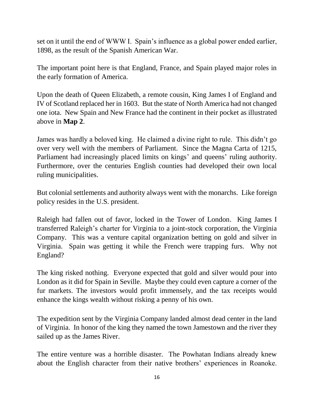set on it until the end of WWW I. Spain's influence as a global power ended earlier, 1898, as the result of the Spanish American War.

The important point here is that England, France, and Spain played major roles in the early formation of America.

Upon the death of Queen Elizabeth, a remote cousin, King James I of England and IV of Scotland replaced her in 1603. But the state of North America had not changed one iota. New Spain and New France had the continent in their pocket as illustrated above in **Map 2**.

James was hardly a beloved king. He claimed a divine right to rule. This didn't go over very well with the members of Parliament. Since the Magna Carta of 1215, Parliament had increasingly placed limits on kings' and queens' ruling authority. Furthermore, over the centuries English counties had developed their own local ruling municipalities.

But colonial settlements and authority always went with the monarchs. Like foreign policy resides in the U.S. president.

Raleigh had fallen out of favor, locked in the Tower of London. King James I transferred Raleigh's charter for Virginia to a joint-stock corporation, the Virginia Company. This was a venture capital organization betting on gold and silver in Virginia. Spain was getting it while the French were trapping furs. Why not England?

The king risked nothing. Everyone expected that gold and silver would pour into London as it did for Spain in Seville. Maybe they could even capture a corner of the fur markets. The investors would profit immensely, and the tax receipts would enhance the kings wealth without risking a penny of his own.

The expedition sent by the Virginia Company landed almost dead center in the land of Virginia. In honor of the king they named the town Jamestown and the river they sailed up as the James River.

The entire venture was a horrible disaster. The Powhatan Indians already knew about the English character from their native brothers' experiences in Roanoke.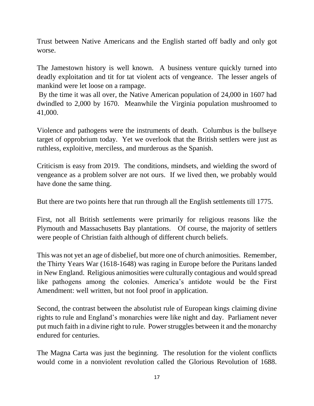Trust between Native Americans and the English started off badly and only got worse.

The Jamestown history is well known. A business venture quickly turned into deadly exploitation and tit for tat violent acts of vengeance. The lesser angels of mankind were let loose on a rampage.

By the time it was all over, the Native American population of 24,000 in 1607 had dwindled to 2,000 by 1670. Meanwhile the Virginia population mushroomed to 41,000.

Violence and pathogens were the instruments of death. Columbus is the bullseye target of opprobrium today. Yet we overlook that the British settlers were just as ruthless, exploitive, merciless, and murderous as the Spanish.

Criticism is easy from 2019. The conditions, mindsets, and wielding the sword of vengeance as a problem solver are not ours. If we lived then, we probably would have done the same thing.

But there are two points here that run through all the English settlements till 1775.

First, not all British settlements were primarily for religious reasons like the Plymouth and Massachusetts Bay plantations. Of course, the majority of settlers were people of Christian faith although of different church beliefs.

This was not yet an age of disbelief, but more one of church animosities. Remember, the Thirty Years War (1618-1648) was raging in Europe before the Puritans landed in New England. Religious animosities were culturally contagious and would spread like pathogens among the colonies. America's antidote would be the First Amendment: well written, but not fool proof in application.

Second, the contrast between the absolutist rule of European kings claiming divine rights to rule and England's monarchies were like night and day. Parliament never put much faith in a divine right to rule. Power struggles between it and the monarchy endured for centuries.

The Magna Carta was just the beginning. The resolution for the violent conflicts would come in a nonviolent revolution called the Glorious Revolution of 1688.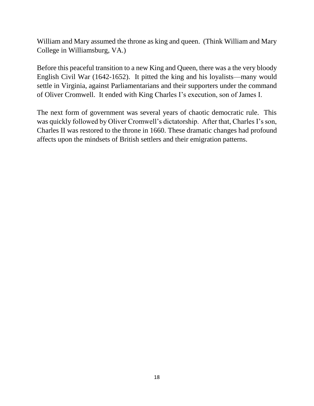William and Mary assumed the throne as king and queen. (Think William and Mary College in Williamsburg, VA.)

Before this peaceful transition to a new King and Queen, there was a the very bloody English Civil War (1642-1652). It pitted the king and his loyalists—many would settle in Virginia, against Parliamentarians and their supporters under the command of Oliver Cromwell. It ended with King Charles I's execution, son of James I.

The next form of government was several years of chaotic democratic rule. This was quickly followed by Oliver Cromwell's dictatorship. After that, Charles I's son, Charles II was restored to the throne in 1660. These dramatic changes had profound affects upon the mindsets of British settlers and their emigration patterns.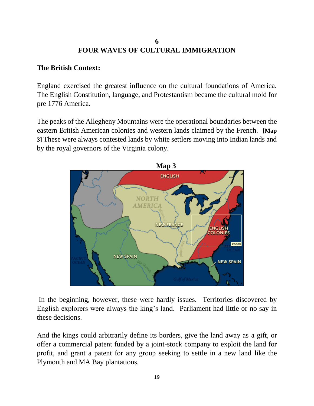#### **6 FOUR WAVES OF CULTURAL IMMIGRATION**

#### **The British Context:**

England exercised the greatest influence on the cultural foundations of America. The English Constitution, language, and Protestantism became the cultural mold for pre 1776 America.

The peaks of the Allegheny Mountains were the operational boundaries between the eastern British American colonies and western lands claimed by the French. **[Map 3]** These were always contested lands by white settlers moving into Indian lands and by the royal governors of the Virginia colony.



In the beginning, however, these were hardly issues. Territories discovered by English explorers were always the king's land. Parliament had little or no say in these decisions.

And the kings could arbitrarily define its borders, give the land away as a gift, or offer a commercial patent funded by a joint-stock company to exploit the land for profit, and grant a patent for any group seeking to settle in a new land like the Plymouth and MA Bay plantations.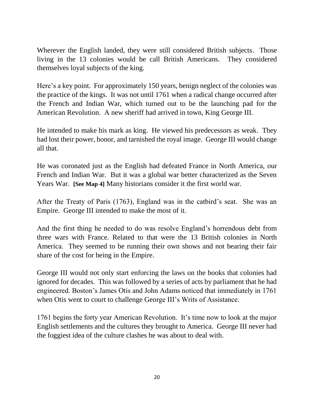Wherever the English landed, they were still considered British subjects. Those living in the 13 colonies would be call British Americans. They considered themselves loyal subjects of the king.

Here's a key point. For approximately 150 years, benign neglect of the colonies was the practice of the kings. It was not until 1761 when a radical change occurred after the French and Indian War, which turned out to be the launching pad for the American Revolution. A new sheriff had arrived in town, King George III.

He intended to make his mark as king. He viewed his predecessors as weak. They had lost their power, honor, and tarnished the royal image. George III would change all that.

He was coronated just as the English had defeated France in North America, our French and Indian War. But it was a global war better characterized as the Seven Years War. **[See Map 4]** Many historians consider it the first world war.

After the Treaty of Paris (1763), England was in the catbird's seat. She was an Empire. George III intended to make the most of it.

And the first thing he needed to do was resolve England's horrendous debt from three wars with France. Related to that were the 13 British colonies in North America. They seemed to be running their own shows and not bearing their fair share of the cost for being in the Empire.

George III would not only start enforcing the laws on the books that colonies had ignored for decades. This was followed by a series of acts by parliament that he had engineered. Boston's James Otis and John Adams noticed that immediately in 1761 when Otis went to court to challenge George III's Writs of Assistance.

1761 begins the forty year American Revolution. It's time now to look at the major English settlements and the cultures they brought to America. George III never had the foggiest idea of the culture clashes he was about to deal with.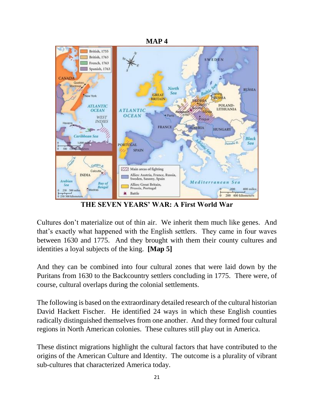

**THE SEVEN YEARS' WAR: A First World War**

Cultures don't materialize out of thin air. We inherit them much like genes. And that's exactly what happened with the English settlers. They came in four waves between 1630 and 1775. And they brought with them their county cultures and identities a loyal subjects of the king. **[Map 5]**

And they can be combined into four cultural zones that were laid down by the Puritans from 1630 to the Backcountry settlers concluding in 1775. There were, of course, cultural overlaps during the colonial settlements.

The following is based on the extraordinary detailed research of the cultural historian David Hackett Fischer. He identified 24 ways in which these English counties radically distinguished themselves from one another. And they formed four cultural regions in North American colonies. These cultures still play out in America.

These distinct migrations highlight the cultural factors that have contributed to the origins of the American Culture and Identity. The outcome is a plurality of vibrant sub-cultures that characterized America today.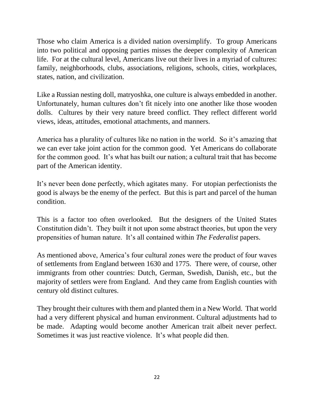Those who claim America is a divided nation oversimplify. To group Americans into two political and opposing parties misses the deeper complexity of American life. For at the cultural level, Americans live out their lives in a myriad of cultures: family, neighborhoods, clubs, associations, religions, schools, cities, workplaces, states, nation, and civilization.

Like a Russian nesting doll, matryoshka, one culture is always embedded in another. Unfortunately, human cultures don't fit nicely into one another like those wooden dolls. Cultures by their very nature breed conflict. They reflect different world views, ideas, attitudes, emotional attachments, and manners.

America has a plurality of cultures like no nation in the world. So it's amazing that we can ever take joint action for the common good. Yet Americans do collaborate for the common good. It's what has built our nation; a cultural trait that has become part of the American identity.

It's never been done perfectly, which agitates many. For utopian perfectionists the good is always be the enemy of the perfect. But this is part and parcel of the human condition.

This is a factor too often overlooked. But the designers of the United States Constitution didn't. They built it not upon some abstract theories, but upon the very propensities of human nature. It's all contained within *The Federalist* papers.

As mentioned above, America's four cultural zones were the product of four waves of settlements from England between 1630 and 1775. There were, of course, other immigrants from other countries: Dutch, German, Swedish, Danish, etc., but the majority of settlers were from England. And they came from English counties with century old distinct cultures.

They brought their cultures with them and planted them in a New World. That world had a very different physical and human environment. Cultural adjustments had to be made. Adapting would become another American trait albeit never perfect. Sometimes it was just reactive violence. It's what people did then.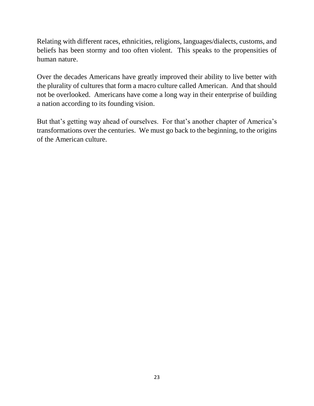Relating with different races, ethnicities, religions, languages/dialects, customs, and beliefs has been stormy and too often violent. This speaks to the propensities of human nature.

Over the decades Americans have greatly improved their ability to live better with the plurality of cultures that form a macro culture called American. And that should not be overlooked. Americans have come a long way in their enterprise of building a nation according to its founding vision.

But that's getting way ahead of ourselves. For that's another chapter of America's transformations over the centuries. We must go back to the beginning, to the origins of the American culture.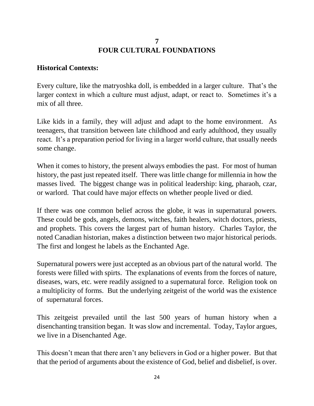## **7 FOUR CULTURAL FOUNDATIONS**

#### **Historical Contexts:**

Every culture, like the matryoshka doll, is embedded in a larger culture. That's the larger context in which a culture must adjust, adapt, or react to. Sometimes it's a mix of all three.

Like kids in a family, they will adjust and adapt to the home environment. As teenagers, that transition between late childhood and early adulthood, they usually react. It's a preparation period for living in a larger world culture, that usually needs some change.

When it comes to history, the present always embodies the past. For most of human history, the past just repeated itself. There was little change for millennia in how the masses lived. The biggest change was in political leadership: king, pharaoh, czar, or warlord. That could have major effects on whether people lived or died.

If there was one common belief across the globe, it was in supernatural powers. These could be gods, angels, demons, witches, faith healers, witch doctors, priests, and prophets. This covers the largest part of human history. Charles Taylor, the noted Canadian historian, makes a distinction between two major historical periods. The first and longest he labels as the Enchanted Age.

Supernatural powers were just accepted as an obvious part of the natural world. The forests were filled with spirts. The explanations of events from the forces of nature, diseases, wars, etc. were readily assigned to a supernatural force. Religion took on a multiplicity of forms. But the underlying zeitgeist of the world was the existence of supernatural forces.

This zeitgeist prevailed until the last 500 years of human history when a disenchanting transition began. It was slow and incremental. Today, Taylor argues, we live in a Disenchanted Age.

This doesn't mean that there aren't any believers in God or a higher power. But that that the period of arguments about the existence of God, belief and disbelief, is over.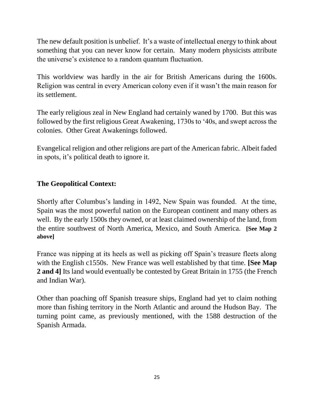The new default position is unbelief. It's a waste of intellectual energy to think about something that you can never know for certain. Many modern physicists attribute the universe's existence to a random quantum fluctuation.

This worldview was hardly in the air for British Americans during the 1600s. Religion was central in every American colony even if it wasn't the main reason for its settlement.

The early religious zeal in New England had certainly waned by 1700. But this was followed by the first religious Great Awakening, 1730s to '40s, and swept across the colonies. Other Great Awakenings followed.

Evangelical religion and other religions are part of the American fabric. Albeit faded in spots, it's political death to ignore it.

## **The Geopolitical Context:**

Shortly after Columbus's landing in 1492, New Spain was founded. At the time, Spain was the most powerful nation on the European continent and many others as well. By the early 1500s they owned, or at least claimed ownership of the land, from the entire southwest of North America, Mexico, and South America. **[See Map 2 above]**

France was nipping at its heels as well as picking off Spain's treasure fleets along with the English c1550s. New France was well established by that time. **[See Map 2 and 4]** Its land would eventually be contested by Great Britain in 1755 (the French and Indian War).

Other than poaching off Spanish treasure ships, England had yet to claim nothing more than fishing territory in the North Atlantic and around the Hudson Bay. The turning point came, as previously mentioned, with the 1588 destruction of the Spanish Armada.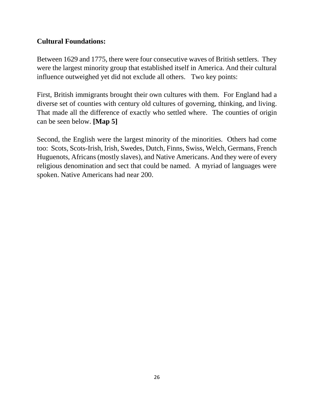#### **Cultural Foundations:**

Between 1629 and 1775, there were four consecutive waves of British settlers. They were the largest minority group that established itself in America. And their cultural influence outweighed yet did not exclude all others. Two key points:

First, British immigrants brought their own cultures with them. For England had a diverse set of counties with century old cultures of governing, thinking, and living. That made all the difference of exactly who settled where. The counties of origin can be seen below. **[Map 5]**

Second, the English were the largest minority of the minorities. Others had come too: Scots, Scots-Irish, Irish, Swedes, Dutch, Finns, Swiss, Welch, Germans, French Huguenots, Africans (mostly slaves), and Native Americans. And they were of every religious denomination and sect that could be named. A myriad of languages were spoken. Native Americans had near 200.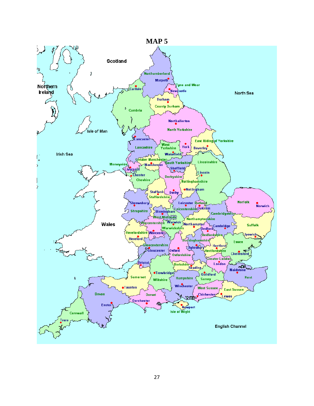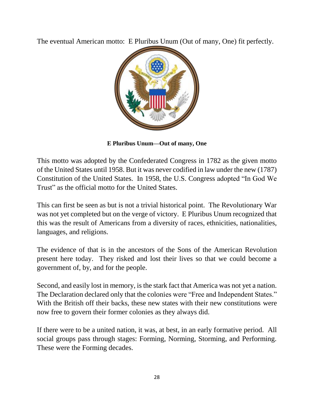The eventual American motto: E Pluribus Unum (Out of many, One) fit perfectly.



**E Pluribus Unum—Out of many, One**

This motto was adopted by the Confederated Congress in 1782 as the given motto of the United States until 1958. But it was never codified in law under the new (1787) Constitution of the United States. In 1958, the U.S. Congress adopted "In God We Trust" as the official motto for the United States.

This can first be seen as but is not a trivial historical point. The Revolutionary War was not yet completed but on the verge of victory. E Pluribus Unum recognized that this was the result of Americans from a diversity of races, ethnicities, nationalities, languages, and religions.

The evidence of that is in the ancestors of the Sons of the American Revolution present here today. They risked and lost their lives so that we could become a government of, by, and for the people.

Second, and easily lost in memory, is the stark fact that America was not yet a nation. The Declaration declared only that the colonies were "Free and Independent States." With the British off their backs, these new states with their new constitutions were now free to govern their former colonies as they always did.

If there were to be a united nation, it was, at best, in an early formative period. All social groups pass through stages: Forming, Norming, Storming, and Performing. These were the Forming decades.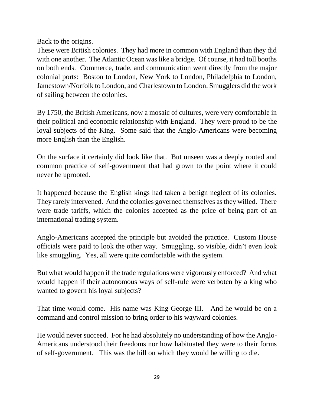Back to the origins.

These were British colonies. They had more in common with England than they did with one another. The Atlantic Ocean was like a bridge. Of course, it had toll booths on both ends. Commerce, trade, and communication went directly from the major colonial ports: Boston to London, New York to London, Philadelphia to London, Jamestown/Norfolk to London, and Charlestown to London. Smugglers did the work of sailing between the colonies.

By 1750, the British Americans, now a mosaic of cultures, were very comfortable in their political and economic relationship with England. They were proud to be the loyal subjects of the King. Some said that the Anglo-Americans were becoming more English than the English.

On the surface it certainly did look like that. But unseen was a deeply rooted and common practice of self-government that had grown to the point where it could never be uprooted.

It happened because the English kings had taken a benign neglect of its colonies. They rarely intervened. And the colonies governed themselves as they willed. There were trade tariffs, which the colonies accepted as the price of being part of an international trading system.

Anglo-Americans accepted the principle but avoided the practice. Custom House officials were paid to look the other way. Smuggling, so visible, didn't even look like smuggling. Yes, all were quite comfortable with the system.

But what would happen if the trade regulations were vigorously enforced? And what would happen if their autonomous ways of self-rule were verboten by a king who wanted to govern his loyal subjects?

That time would come. His name was King George III. And he would be on a command and control mission to bring order to his wayward colonies.

He would never succeed. For he had absolutely no understanding of how the Anglo-Americans understood their freedoms nor how habituated they were to their forms of self-government. This was the hill on which they would be willing to die.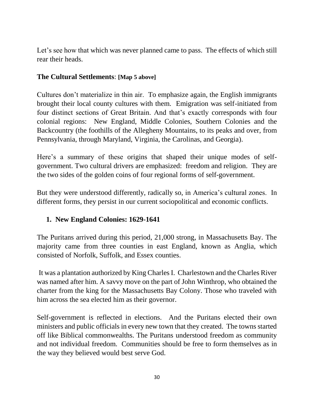Let's see how that which was never planned came to pass. The effects of which still rear their heads.

#### **The Cultural Settlements**: **[Map 5 above]**

Cultures don't materialize in thin air. To emphasize again, the English immigrants brought their local county cultures with them. Emigration was self-initiated from four distinct sections of Great Britain. And that's exactly corresponds with four colonial regions: New England, Middle Colonies, Southern Colonies and the Backcountry (the foothills of the Allegheny Mountains, to its peaks and over, from Pennsylvania, through Maryland, Virginia, the Carolinas, and Georgia).

Here's a summary of these origins that shaped their unique modes of selfgovernment. Two cultural drivers are emphasized: freedom and religion. They are the two sides of the golden coins of four regional forms of self-government.

But they were understood differently, radically so, in America's cultural zones. In different forms, they persist in our current sociopolitical and economic conflicts.

### **1. New England Colonies: 1629-1641**

The Puritans arrived during this period, 21,000 strong, in Massachusetts Bay. The majority came from three counties in east England, known as Anglia, which consisted of Norfolk, Suffolk, and Essex counties.

It was a plantation authorized by King Charles I. Charlestown and the Charles River was named after him. A savvy move on the part of John Winthrop, who obtained the charter from the king for the Massachusetts Bay Colony. Those who traveled with him across the sea elected him as their governor.

Self-government is reflected in elections. And the Puritans elected their own ministers and public officials in every new town that they created. The towns started off like Biblical commonwealths. The Puritans understood freedom as community and not individual freedom. Communities should be free to form themselves as in the way they believed would best serve God.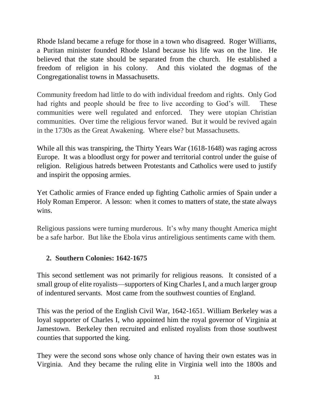Rhode Island became a refuge for those in a town who disagreed. Roger Williams, a Puritan minister founded Rhode Island because his life was on the line. He believed that the state should be separated from the church. He established a freedom of religion in his colony. And this violated the dogmas of the Congregationalist towns in Massachusetts.

Community freedom had little to do with individual freedom and rights. Only God had rights and people should be free to live according to God's will. These communities were well regulated and enforced. They were utopian Christian communities. Over time the religious fervor waned. But it would be revived again in the 1730s as the Great Awakening. Where else? but Massachusetts.

While all this was transpiring, the Thirty Years War (1618-1648) was raging across Europe. It was a bloodlust orgy for power and territorial control under the guise of religion. Religious hatreds between Protestants and Catholics were used to justify and inspirit the opposing armies.

Yet Catholic armies of France ended up fighting Catholic armies of Spain under a Holy Roman Emperor. A lesson: when it comes to matters of state, the state always wins.

Religious passions were turning murderous. It's why many thought America might be a safe harbor. But like the Ebola virus antireligious sentiments came with them.

## **2. Southern Colonies: 1642-1675**

This second settlement was not primarily for religious reasons. It consisted of a small group of elite royalists—supporters of King Charles I, and a much larger group of indentured servants. Most came from the southwest counties of England.

This was the period of the English Civil War, 1642-1651. William Berkeley was a loyal supporter of Charles I, who appointed him the royal governor of Virginia at Jamestown. Berkeley then recruited and enlisted royalists from those southwest counties that supported the king.

They were the second sons whose only chance of having their own estates was in Virginia. And they became the ruling elite in Virginia well into the 1800s and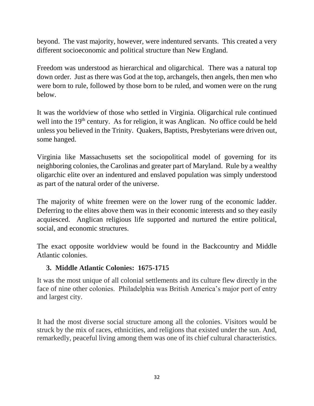beyond. The vast majority, however, were indentured servants. This created a very different socioeconomic and political structure than New England.

Freedom was understood as hierarchical and oligarchical. There was a natural top down order. Just as there was God at the top, archangels, then angels, then men who were born to rule, followed by those born to be ruled, and women were on the rung below.

It was the worldview of those who settled in Virginia. Oligarchical rule continued well into the 19<sup>th</sup> century. As for religion, it was Anglican. No office could be held unless you believed in the Trinity. Quakers, Baptists, Presbyterians were driven out, some hanged.

Virginia like Massachusetts set the sociopolitical model of governing for its neighboring colonies, the Carolinas and greater part of Maryland. Rule by a wealthy oligarchic elite over an indentured and enslaved population was simply understood as part of the natural order of the universe.

The majority of white freemen were on the lower rung of the economic ladder. Deferring to the elites above them was in their economic interests and so they easily acquiesced. Anglican religious life supported and nurtured the entire political, social, and economic structures.

The exact opposite worldview would be found in the Backcountry and Middle Atlantic colonies.

### **3. Middle Atlantic Colonies: 1675-1715**

It was the most unique of all colonial settlements and its culture flew directly in the face of nine other colonies. Philadelphia was British America's major port of entry and largest city.

It had the most diverse social structure among all the colonies. Visitors would be struck by the mix of races, ethnicities, and religions that existed under the sun. And, remarkedly, peaceful living among them was one of its chief cultural characteristics.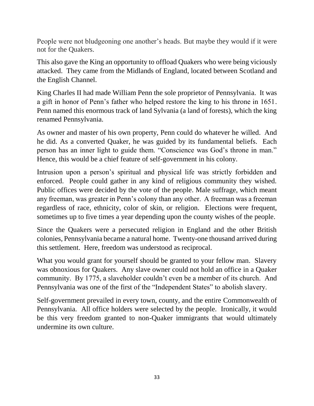People were not bludgeoning one another's heads. But maybe they would if it were not for the Quakers.

This also gave the King an opportunity to offload Quakers who were being viciously attacked. They came from the Midlands of England, located between Scotland and the English Channel.

King Charles II had made William Penn the sole proprietor of Pennsylvania. It was a gift in honor of Penn's father who helped restore the king to his throne in 1651. Penn named this enormous track of land Sylvania (a land of forests), which the king renamed Pennsylvania.

As owner and master of his own property, Penn could do whatever he willed. And he did. As a converted Quaker, he was guided by its fundamental beliefs. Each person has an inner light to guide them. "Conscience was God's throne in man." Hence, this would be a chief feature of self-government in his colony.

Intrusion upon a person's spiritual and physical life was strictly forbidden and enforced. People could gather in any kind of religious community they wished. Public offices were decided by the vote of the people. Male suffrage, which meant any freeman, was greater in Penn's colony than any other. A freeman was a freeman regardless of race, ethnicity, color of skin, or religion. Elections were frequent, sometimes up to five times a year depending upon the county wishes of the people.

Since the Quakers were a persecuted religion in England and the other British colonies, Pennsylvania became a natural home. Twenty-one thousand arrived during this settlement. Here, freedom was understood as reciprocal.

What you would grant for yourself should be granted to your fellow man. Slavery was obnoxious for Quakers. Any slave owner could not hold an office in a Quaker community. By 1775, a slaveholder couldn't even be a member of its church. And Pennsylvania was one of the first of the "Independent States" to abolish slavery.

Self-government prevailed in every town, county, and the entire Commonwealth of Pennsylvania. All office holders were selected by the people. Ironically, it would be this very freedom granted to non-Quaker immigrants that would ultimately undermine its own culture.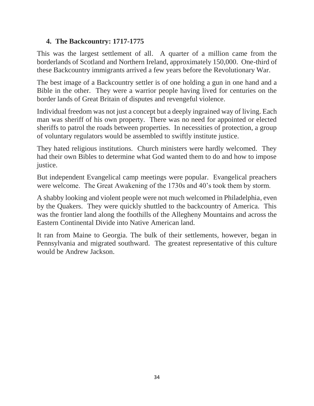## **4. The Backcountry: 1717-1775**

This was the largest settlement of all. A quarter of a million came from the borderlands of Scotland and Northern Ireland, approximately 150,000. One-third of these Backcountry immigrants arrived a few years before the Revolutionary War.

The best image of a Backcountry settler is of one holding a gun in one hand and a Bible in the other. They were a warrior people having lived for centuries on the border lands of Great Britain of disputes and revengeful violence.

Individual freedom was not just a concept but a deeply ingrained way of living. Each man was sheriff of his own property. There was no need for appointed or elected sheriffs to patrol the roads between properties. In necessities of protection, a group of voluntary regulators would be assembled to swiftly institute justice.

They hated religious institutions. Church ministers were hardly welcomed. They had their own Bibles to determine what God wanted them to do and how to impose justice.

But independent Evangelical camp meetings were popular. Evangelical preachers were welcome. The Great Awakening of the 1730s and 40's took them by storm.

A shabby looking and violent people were not much welcomed in Philadelphia, even by the Quakers. They were quickly shuttled to the backcountry of America. This was the frontier land along the foothills of the Allegheny Mountains and across the Eastern Continental Divide into Native American land.

It ran from Maine to Georgia. The bulk of their settlements, however, began in Pennsylvania and migrated southward. The greatest representative of this culture would be Andrew Jackson.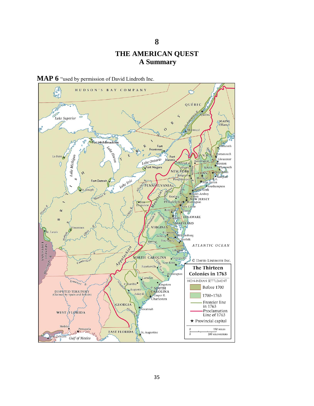#### **THE AMERICAN QUEST A Summary**

**8**



**MAP 6** "used by permission of David Lindroth Inc.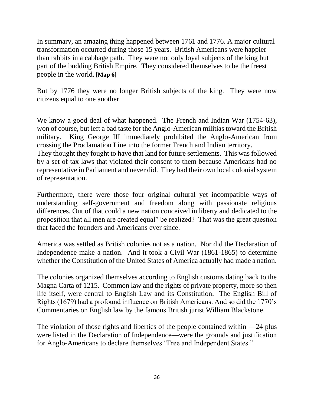In summary, an amazing thing happened between 1761 and 1776. A major cultural transformation occurred during those 15 years. British Americans were happier than rabbits in a cabbage path. They were not only loyal subjects of the king but part of the budding British Empire. They considered themselves to be the freest people in the world**. [Map 6]**

But by 1776 they were no longer British subjects of the king. They were now citizens equal to one another.

We know a good deal of what happened. The French and Indian War (1754-63), won of course, but left a bad taste for the Anglo-American militias toward the British military. King George III immediately prohibited the Anglo-American from crossing the Proclamation Line into the former French and Indian territory. They thought they fought to have that land for future settlements. This was followed by a set of tax laws that violated their consent to them because Americans had no representative in Parliament and never did. They had their own local colonial system of representation.

Furthermore, there were those four original cultural yet incompatible ways of understanding self-government and freedom along with passionate religious differences. Out of that could a new nation conceived in liberty and dedicated to the proposition that all men are created equal" be realized? That was the great question that faced the founders and Americans ever since.

America was settled as British colonies not as a nation. Nor did the Declaration of Independence make a nation. And it took a Civil War (1861-1865) to determine whether the Constitution of the United States of America actually had made a nation.

The colonies organized themselves according to English customs dating back to the Magna Carta of 1215. Common law and the rights of private property, more so then life itself, were central to English Law and its Constitution. The English Bill of Rights (1679) had a profound influence on British Americans. And so did the 1770's Commentaries on English law by the famous British jurist William Blackstone.

The violation of those rights and liberties of the people contained within —24 plus were listed in the Declaration of Independence—were the grounds and justification for Anglo-Americans to declare themselves "Free and Independent States."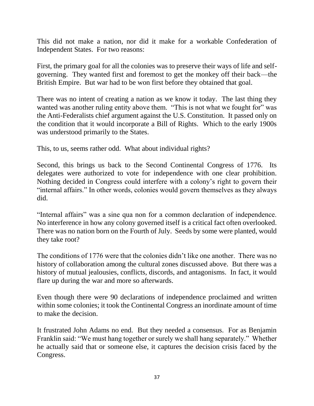This did not make a nation, nor did it make for a workable Confederation of Independent States. For two reasons:

First, the primary goal for all the colonies was to preserve their ways of life and selfgoverning. They wanted first and foremost to get the monkey off their back—the British Empire. But war had to be won first before they obtained that goal.

There was no intent of creating a nation as we know it today. The last thing they wanted was another ruling entity above them. "This is not what we fought for" was the Anti-Federalists chief argument against the U.S. Constitution. It passed only on the condition that it would incorporate a Bill of Rights. Which to the early 1900s was understood primarily to the States.

This, to us, seems rather odd. What about individual rights?

Second, this brings us back to the Second Continental Congress of 1776. Its delegates were authorized to vote for independence with one clear prohibition. Nothing decided in Congress could interfere with a colony's right to govern their "internal affairs." In other words, colonies would govern themselves as they always did.

"Internal affairs" was a sine qua non for a common declaration of independence. No interference in how any colony governed itself is a critical fact often overlooked. There was no nation born on the Fourth of July. Seeds by some were planted, would they take root?

The conditions of 1776 were that the colonies didn't like one another. There was no history of collaboration among the cultural zones discussed above. But there was a history of mutual jealousies, conflicts, discords, and antagonisms. In fact, it would flare up during the war and more so afterwards.

Even though there were 90 declarations of independence proclaimed and written within some colonies; it took the Continental Congress an inordinate amount of time to make the decision.

It frustrated John Adams no end. But they needed a consensus. For as Benjamin Franklin said: "We must hang together or surely we shall hang separately." Whether he actually said that or someone else, it captures the decision crisis faced by the Congress.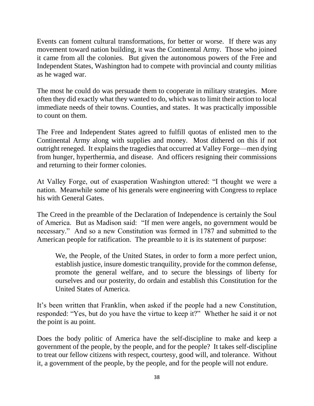Events can foment cultural transformations, for better or worse. If there was any movement toward nation building, it was the Continental Army. Those who joined it came from all the colonies. But given the autonomous powers of the Free and Independent States, Washington had to compete with provincial and county militias as he waged war.

The most he could do was persuade them to cooperate in military strategies. More often they did exactly what they wanted to do, which was to limit their action to local immediate needs of their towns. Counties, and states. It was practically impossible to count on them.

The Free and Independent States agreed to fulfill quotas of enlisted men to the Continental Army along with supplies and money. Most dithered on this if not outright reneged. It explains the tragedies that occurred at Valley Forge—men dying from hunger, hyperthermia, and disease. And officers resigning their commissions and returning to their former colonies.

At Valley Forge, out of exasperation Washington uttered: "I thought we were a nation. Meanwhile some of his generals were engineering with Congress to replace his with General Gates.

The Creed in the preamble of the Declaration of Independence is certainly the Soul of America. But as Madison said: "If men were angels, no government would be necessary." And so a new Constitution was formed in 1787 and submitted to the American people for ratification. The preamble to it is its statement of purpose:

We, the People, of the United States, in order to form a more perfect union, establish justice, insure domestic tranquility, provide for the common defense, promote the general welfare, and to secure the blessings of liberty for ourselves and our posterity, do ordain and establish this Constitution for the United States of America.

It's been written that Franklin, when asked if the people had a new Constitution, responded: "Yes, but do you have the virtue to keep it?" Whether he said it or not the point is au point.

Does the body politic of America have the self-discipline to make and keep a government of the people, by the people, and for the people? It takes self-discipline to treat our fellow citizens with respect, courtesy, good will, and tolerance. Without it, a government of the people, by the people, and for the people will not endure.